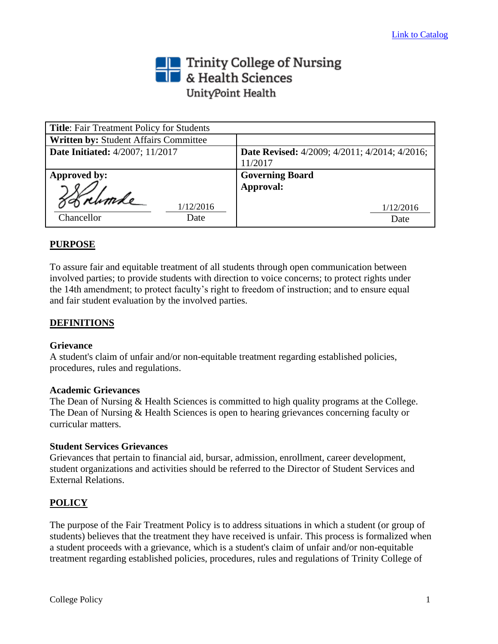# Trinity College of Nursing<br>
Section British Sciences UnityPoint Health

| <b>Title:</b> Fair Treatment Policy for Students |                                                      |  |
|--------------------------------------------------|------------------------------------------------------|--|
| Written by: Student Affairs Committee            |                                                      |  |
| Date Initiated: 4/2007; 11/2017                  | <b>Date Revised:</b> 4/2009; 4/2011; 4/2014; 4/2016; |  |
|                                                  | 11/2017                                              |  |
| Approved by:                                     | <b>Governing Board</b>                               |  |
|                                                  | Approval:                                            |  |
|                                                  |                                                      |  |
| 1/12/2016                                        | 1/12/2016                                            |  |
| Chancellor<br>Date                               | Date                                                 |  |

## **PURPOSE**

To assure fair and equitable treatment of all students through open communication between involved parties; to provide students with direction to voice concerns; to protect rights under the 14th amendment; to protect faculty's right to freedom of instruction; and to ensure equal and fair student evaluation by the involved parties.

#### **DEFINITIONS**

#### **Grievance**

A student's claim of unfair and/or non-equitable treatment regarding established policies, procedures, rules and regulations.

#### **Academic Grievances**

The Dean of Nursing & Health Sciences is committed to high quality programs at the College. The Dean of Nursing & Health Sciences is open to hearing grievances concerning faculty or curricular matters.

#### **Student Services Grievances**

Grievances that pertain to financial aid, bursar, admission, enrollment, career development, student organizations and activities should be referred to the Director of Student Services and External Relations.

#### **POLICY**

The purpose of the Fair Treatment Policy is to address situations in which a student (or group of students) believes that the treatment they have received is unfair. This process is formalized when a student proceeds with a grievance, which is a student's claim of unfair and/or non-equitable treatment regarding established policies, procedures, rules and regulations of Trinity College of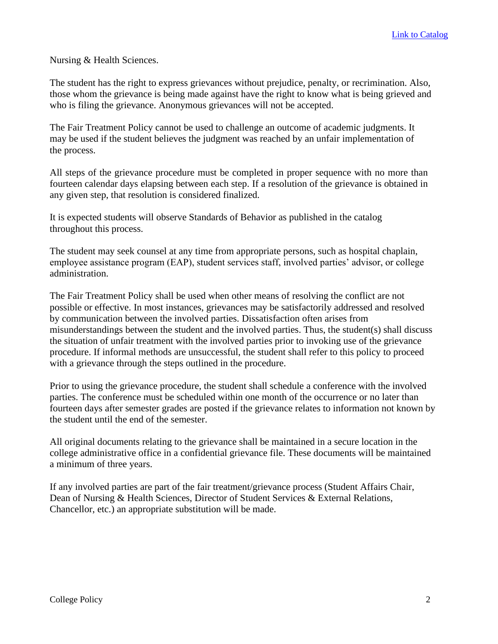Nursing & Health Sciences.

The student has the right to express grievances without prejudice, penalty, or recrimination. Also, those whom the grievance is being made against have the right to know what is being grieved and who is filing the grievance. Anonymous grievances will not be accepted.

The Fair Treatment Policy cannot be used to challenge an outcome of academic judgments. It may be used if the student believes the judgment was reached by an unfair implementation of the process.

All steps of the grievance procedure must be completed in proper sequence with no more than fourteen calendar days elapsing between each step. If a resolution of the grievance is obtained in any given step, that resolution is considered finalized.

It is expected students will observe Standards of Behavior as published in the catalog throughout this process.

The student may seek counsel at any time from appropriate persons, such as hospital chaplain, employee assistance program (EAP), student services staff, involved parties' advisor, or college administration.

The Fair Treatment Policy shall be used when other means of resolving the conflict are not possible or effective. In most instances, grievances may be satisfactorily addressed and resolved by communication between the involved parties. Dissatisfaction often arises from misunderstandings between the student and the involved parties. Thus, the student(s) shall discuss the situation of unfair treatment with the involved parties prior to invoking use of the grievance procedure. If informal methods are unsuccessful, the student shall refer to this policy to proceed with a grievance through the steps outlined in the procedure.

Prior to using the grievance procedure, the student shall schedule a conference with the involved parties. The conference must be scheduled within one month of the occurrence or no later than fourteen days after semester grades are posted if the grievance relates to information not known by the student until the end of the semester.

All original documents relating to the grievance shall be maintained in a secure location in the college administrative office in a confidential grievance file. These documents will be maintained a minimum of three years.

If any involved parties are part of the fair treatment/grievance process (Student Affairs Chair, Dean of Nursing & Health Sciences, Director of Student Services & External Relations, Chancellor, etc.) an appropriate substitution will be made.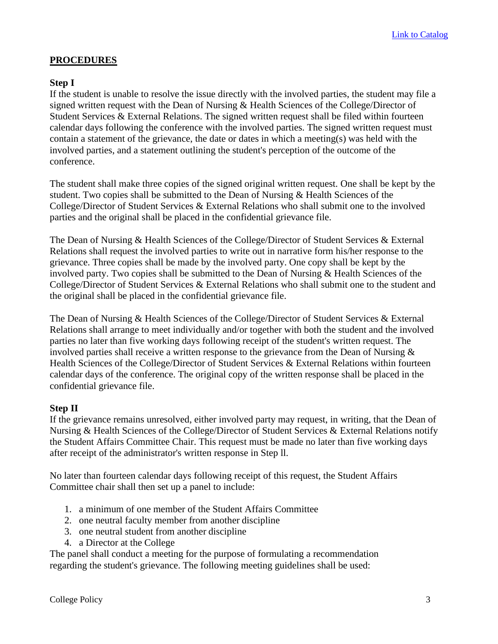## **PROCEDURES**

### **Step I**

If the student is unable to resolve the issue directly with the involved parties, the student may file a signed written request with the Dean of Nursing & Health Sciences of the College/Director of Student Services & External Relations. The signed written request shall be filed within fourteen calendar days following the conference with the involved parties. The signed written request must contain a statement of the grievance, the date or dates in which a meeting(s) was held with the involved parties, and a statement outlining the student's perception of the outcome of the conference.

The student shall make three copies of the signed original written request. One shall be kept by the student. Two copies shall be submitted to the Dean of Nursing & Health Sciences of the College/Director of Student Services & External Relations who shall submit one to the involved parties and the original shall be placed in the confidential grievance file.

The Dean of Nursing & Health Sciences of the College/Director of Student Services & External Relations shall request the involved parties to write out in narrative form his/her response to the grievance. Three copies shall be made by the involved party. One copy shall be kept by the involved party. Two copies shall be submitted to the Dean of Nursing & Health Sciences of the College/Director of Student Services & External Relations who shall submit one to the student and the original shall be placed in the confidential grievance file.

The Dean of Nursing & Health Sciences of the College/Director of Student Services & External Relations shall arrange to meet individually and/or together with both the student and the involved parties no later than five working days following receipt of the student's written request. The involved parties shall receive a written response to the grievance from the Dean of Nursing & Health Sciences of the College/Director of Student Services & External Relations within fourteen calendar days of the conference. The original copy of the written response shall be placed in the confidential grievance file.

## **Step II**

If the grievance remains unresolved, either involved party may request, in writing, that the Dean of Nursing & Health Sciences of the College/Director of Student Services & External Relations notify the Student Affairs Committee Chair. This request must be made no later than five working days after receipt of the administrator's written response in Step ll.

No later than fourteen calendar days following receipt of this request, the Student Affairs Committee chair shall then set up a panel to include:

- 1. a minimum of one member of the Student Affairs Committee
- 2. one neutral faculty member from another discipline
- 3. one neutral student from another discipline
- 4. a Director at the College

The panel shall conduct a meeting for the purpose of formulating a recommendation regarding the student's grievance. The following meeting guidelines shall be used: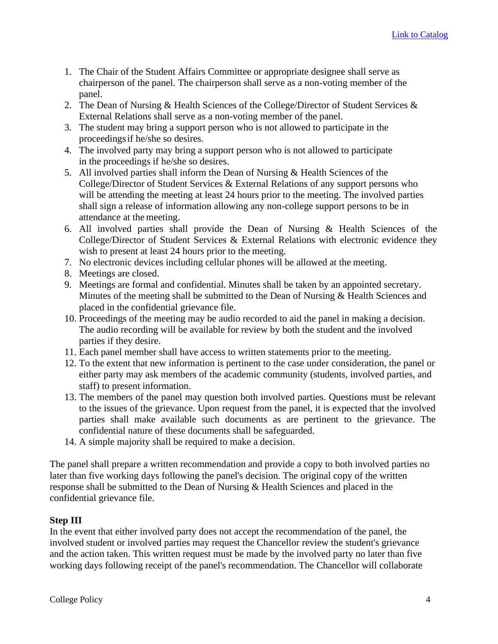- 1. The Chair of the Student Affairs Committee or appropriate designee shall serve as chairperson of the panel. The chairperson shall serve as a non-voting member of the panel.
- 2. The Dean of Nursing & Health Sciences of the College/Director of Student Services & External Relations shall serve as a non-voting member of the panel.
- 3. The student may bring a support person who is not allowed to participate in the proceedingsif he/she so desires.
- 4. The involved party may bring a support person who is not allowed to participate in the proceedings if he/she so desires.
- 5. All involved parties shall inform the Dean of Nursing & Health Sciences of the College/Director of Student Services & External Relations of any support persons who will be attending the meeting at least 24 hours prior to the meeting. The involved parties shall sign a release of information allowing any non-college support persons to be in attendance at the meeting.
- 6. All involved parties shall provide the Dean of Nursing & Health Sciences of the College/Director of Student Services & External Relations with electronic evidence they wish to present at least 24 hours prior to the meeting.
- 7. No electronic devices including cellular phones will be allowed at the meeting.
- 8. Meetings are closed.
- 9. Meetings are formal and confidential. Minutes shall be taken by an appointed secretary. Minutes of the meeting shall be submitted to the Dean of Nursing & Health Sciences and placed in the confidential grievance file.
- 10. Proceedings of the meeting may be audio recorded to aid the panel in making a decision. The audio recording will be available for review by both the student and the involved parties if they desire.
- 11. Each panel member shall have access to written statements prior to the meeting.
- 12. To the extent that new information is pertinent to the case under consideration, the panel or either party may ask members of the academic community (students, involved parties, and staff) to present information.
- 13. The members of the panel may question both involved parties. Questions must be relevant to the issues of the grievance. Upon request from the panel, it is expected that the involved parties shall make available such documents as are pertinent to the grievance. The confidential nature of these documents shall be safeguarded.
- 14. A simple majority shall be required to make a decision.

The panel shall prepare a written recommendation and provide a copy to both involved parties no later than five working days following the panel's decision. The original copy of the written response shall be submitted to the Dean of Nursing & Health Sciences and placed in the confidential grievance file.

## **Step III**

In the event that either involved party does not accept the recommendation of the panel, the involved student or involved parties may request the Chancellor review the student's grievance and the action taken. This written request must be made by the involved party no later than five working days following receipt of the panel's recommendation. The Chancellor will collaborate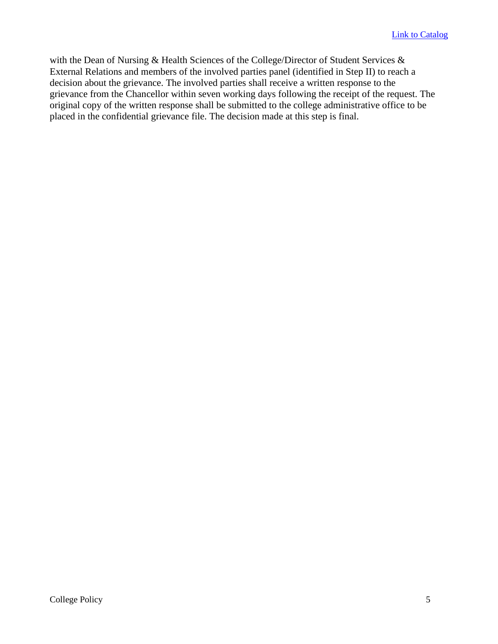with the Dean of Nursing & Health Sciences of the College/Director of Student Services & External Relations and members of the involved parties panel (identified in Step II) to reach a decision about the grievance. The involved parties shall receive a written response to the grievance from the Chancellor within seven working days following the receipt of the request. The original copy of the written response shall be submitted to the college administrative office to be placed in the confidential grievance file. The decision made at this step is final.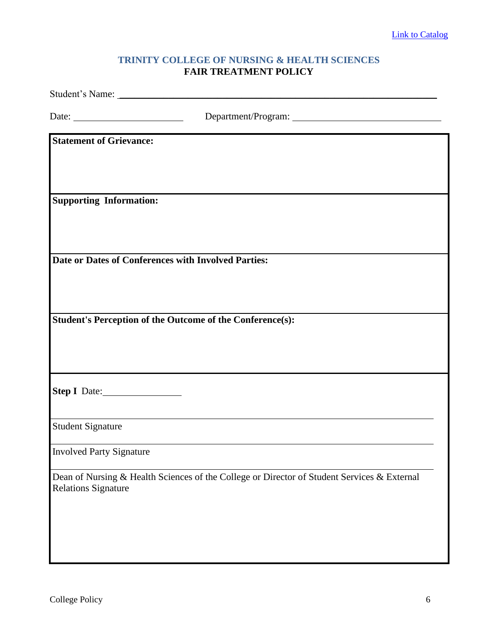## **TRINITY COLLEGE OF NURSING & HEALTH SCIENCES FAIR TREATMENT POLICY**

| Date: $\qquad \qquad$           |                                                                                             |
|---------------------------------|---------------------------------------------------------------------------------------------|
| <b>Statement of Grievance:</b>  |                                                                                             |
|                                 |                                                                                             |
|                                 |                                                                                             |
| <b>Supporting Information:</b>  |                                                                                             |
|                                 |                                                                                             |
|                                 |                                                                                             |
|                                 | Date or Dates of Conferences with Involved Parties:                                         |
|                                 |                                                                                             |
|                                 | <b>Student's Perception of the Outcome of the Conference(s):</b>                            |
|                                 |                                                                                             |
|                                 |                                                                                             |
|                                 |                                                                                             |
| Step I Date:                    |                                                                                             |
| <b>Student Signature</b>        |                                                                                             |
| <b>Involved Party Signature</b> |                                                                                             |
| <b>Relations Signature</b>      | Dean of Nursing & Health Sciences of the College or Director of Student Services & External |
|                                 |                                                                                             |
|                                 |                                                                                             |
|                                 |                                                                                             |